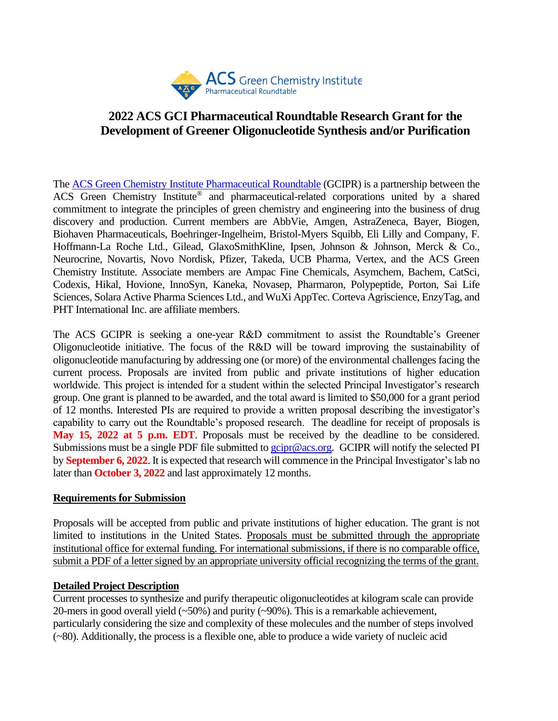

# **2022 ACS GCI Pharmaceutical Roundtable Research Grant for the Development of Greener Oligonucleotide Synthesis and/or Purification**

The [ACS Green Chemistry Institute Pharmaceutical Roundtable](https://www.acsgcipr.org/) (GCIPR) is a partnership between the ACS Green Chemistry Institute® and pharmaceutical-related corporations united by a shared commitment to integrate the principles of green chemistry and engineering into the business of drug discovery and production. Current members are AbbVie, Amgen, AstraZeneca, Bayer, Biogen, Biohaven Pharmaceuticals, Boehringer-Ingelheim, Bristol-Myers Squibb, Eli Lilly and Company, F. Hoffmann-La Roche Ltd., Gilead, GlaxoSmithKline, Ipsen, Johnson & Johnson, Merck & Co., Neurocrine, Novartis, Novo Nordisk, Pfizer, Takeda, UCB Pharma, Vertex, and the ACS Green Chemistry Institute. Associate members are Ampac Fine Chemicals, Asymchem, Bachem, CatSci, Codexis, Hikal, Hovione, InnoSyn, Kaneka, Novasep, Pharmaron, Polypeptide, Porton, Sai Life Sciences, Solara Active Pharma Sciences Ltd., and WuXi AppTec. Corteva Agriscience, EnzyTag, and PHT International Inc. are affiliate members.

The ACS GCIPR is seeking a one-year R&D commitment to assist the Roundtable's Greener Oligonucleotide initiative. The focus of the R&D will be toward improving the sustainability of oligonucleotide manufacturing by addressing one (or more) of the environmental challenges facing the current process. Proposals are invited from public and private institutions of higher education worldwide. This project is intended for a student within the selected Principal Investigator's research group. One grant is planned to be awarded, and the total award is limited to \$50,000 for a grant period of 12 months. Interested PIs are required to provide a written proposal describing the investigator's capability to carry out the Roundtable's proposed research. The deadline for receipt of proposals is **May 15, 2022 at 5 p.m. EDT**. Proposals must be received by the deadline to be considered. Submissions must be a single PDF file submitted to  $gcipr@acs.org$ . GCIPR will notify the selected PI by **September 6, 2022**. It is expected that research will commence in the Principal Investigator's lab no later than **October 3, 2022** and last approximately 12 months.

#### **Requirements for Submission**

Proposals will be accepted from public and private institutions of higher education. The grant is not limited to institutions in the United States. Proposals must be submitted through the appropriate institutional office for external funding. For international submissions, if there is no comparable office, submit a PDF of a letter signed by an appropriate university official recognizing the terms of the grant.

### **Detailed Project Description**

Current processes to synthesize and purify therapeutic oligonucleotides at kilogram scale can provide 20-mers in good overall yield (~50%) and purity (~90%). This is a remarkable achievement, particularly considering the size and complexity of these molecules and the number of steps involved (~80). Additionally, the process is a flexible one, able to produce a wide variety of nucleic acid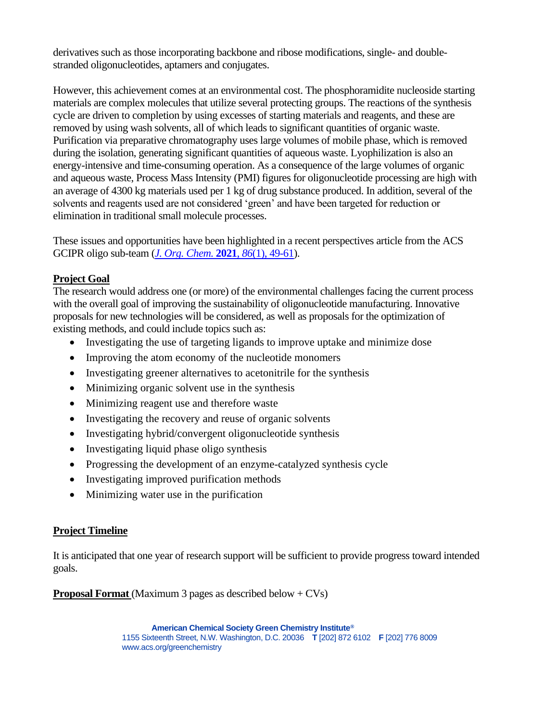derivatives such as those incorporating backbone and ribose modifications, single- and doublestranded oligonucleotides, aptamers and conjugates.

However, this achievement comes at an environmental cost. The phosphoramidite nucleoside starting materials are complex molecules that utilize several protecting groups. The reactions of the synthesis cycle are driven to completion by using excesses of starting materials and reagents, and these are removed by using wash solvents, all of which leads to significant quantities of organic waste. Purification via preparative chromatography uses large volumes of mobile phase, which is removed during the isolation, generating significant quantities of aqueous waste. Lyophilization is also an energy-intensive and time-consuming operation. As a consequence of the large volumes of organic and aqueous waste, Process Mass Intensity (PMI) figures for oligonucleotide processing are high with an average of 4300 kg materials used per 1 kg of drug substance produced. In addition, several of the solvents and reagents used are not considered 'green' and have been targeted for reduction or elimination in traditional small molecule processes.

These issues and opportunities have been highlighted in a recent perspectives article from the ACS GCIPR oligo sub-team (*J. Org. Chem.* **2021**, *86*[\(1\), 49-61\)](https://doi.org/10.1021/acs.joc.0c02291).

### **Project Goal**

The research would address one (or more) of the environmental challenges facing the current process with the overall goal of improving the sustainability of oligonucleotide manufacturing. Innovative proposals for new technologies will be considered, as well as proposals for the optimization of existing methods, and could include topics such as:

- Investigating the use of targeting ligands to improve uptake and minimize dose
- Improving the atom economy of the nucleotide monomers
- Investigating greener alternatives to acetonitrile for the synthesis
- Minimizing organic solvent use in the synthesis
- Minimizing reagent use and therefore waste
- Investigating the recovery and reuse of organic solvents
- Investigating hybrid/convergent oligonucleotide synthesis
- Investigating liquid phase oligo synthesis
- Progressing the development of an enzyme-catalyzed synthesis cycle
- Investigating improved purification methods
- Minimizing water use in the purification

#### **Project Timeline**

It is anticipated that one year of research support will be sufficient to provide progress toward intended goals.

**Proposal Format** (Maximum 3 pages as described below + CVs)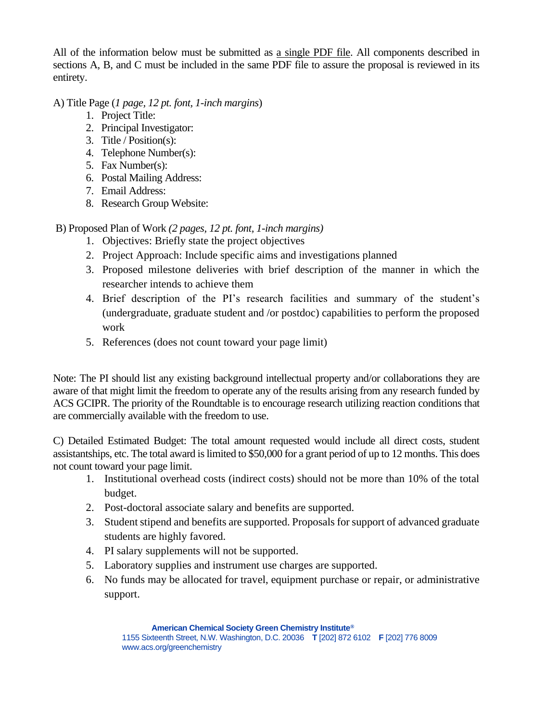All of the information below must be submitted as a single PDF file. All components described in sections A, B, and C must be included in the same PDF file to assure the proposal is reviewed in its entirety.

A) Title Page (*1 page, 12 pt. font, 1-inch margins*)

- 1. Project Title:
- 2. Principal Investigator:
- 3. Title / Position(s):
- 4. Telephone Number(s):
- 5. Fax Number(s):
- 6. Postal Mailing Address:
- 7. Email Address:
- 8. Research Group Website:

B) Proposed Plan of Work *(2 pages, 12 pt. font, 1-inch margins)*

- 1. Objectives: Briefly state the project objectives
- 2. Project Approach: Include specific aims and investigations planned
- 3. Proposed milestone deliveries with brief description of the manner in which the researcher intends to achieve them
- 4. Brief description of the PI's research facilities and summary of the student's (undergraduate, graduate student and /or postdoc) capabilities to perform the proposed work
- 5. References (does not count toward your page limit)

Note: The PI should list any existing background intellectual property and/or collaborations they are aware of that might limit the freedom to operate any of the results arising from any research funded by ACS GCIPR. The priority of the Roundtable is to encourage research utilizing reaction conditions that are commercially available with the freedom to use.

C) Detailed Estimated Budget: The total amount requested would include all direct costs, student assistantships, etc. The total award is limited to \$50,000 for a grant period of up to 12 months. This does not count toward your page limit.

- 1. Institutional overhead costs (indirect costs) should not be more than 10% of the total budget.
- 2. Post-doctoral associate salary and benefits are supported.
- 3. Student stipend and benefits are supported. Proposals for support of advanced graduate students are highly favored.
- 4. PI salary supplements will not be supported.
- 5. Laboratory supplies and instrument use charges are supported.
- 6. No funds may be allocated for travel, equipment purchase or repair, or administrative support.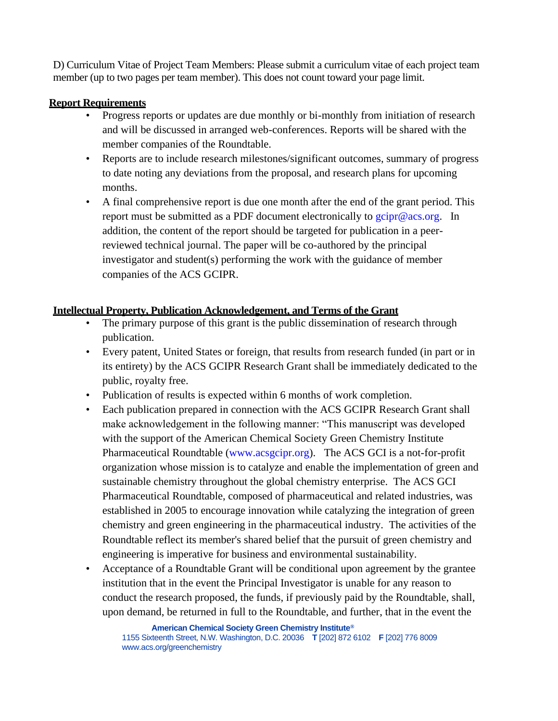D) Curriculum Vitae of Project Team Members: Please submit a curriculum vitae of each project team member (up to two pages per team member). This does not count toward your page limit.

### **Report Requirements**

- Progress reports or updates are due monthly or bi-monthly from initiation of research and will be discussed in arranged web-conferences. Reports will be shared with the member companies of the Roundtable.
- Reports are to include research milestones/significant outcomes, summary of progress to date noting any deviations from the proposal, and research plans for upcoming months.
- A final comprehensive report is due one month after the end of the grant period. This report must be submitted as a PDF document electronically to  $g\text{circ}$  acs.org. In addition, the content of the report should be targeted for publication in a peerreviewed technical journal. The paper will be co-authored by the principal investigator and student(s) performing the work with the guidance of member companies of the ACS GCIPR.

## **Intellectual Property, Publication Acknowledgement, and Terms of the Grant**

- The primary purpose of this grant is the public dissemination of research through publication.
- Every patent, United States or foreign, that results from research funded (in part or in its entirety) by the ACS GCIPR Research Grant shall be immediately dedicated to the public, royalty free.
- Publication of results is expected within 6 months of work completion.
- Each publication prepared in connection with the ACS GCIPR Research Grant shall make acknowledgement in the following manner: "This manuscript was developed with the support of the American Chemical Society Green Chemistry Institute Pharmaceutical Roundtable [\(www.acsgcipr.org\)](http://www.acsgcipr.org/). The ACS GCI is a not-for-profit organization whose mission is to catalyze and enable the implementation of green and sustainable chemistry throughout the global chemistry enterprise. The ACS GCI Pharmaceutical Roundtable, composed of pharmaceutical and related industries, was established in 2005 to encourage innovation while catalyzing the integration of green chemistry and green engineering in the pharmaceutical industry. The activities of the Roundtable reflect its member's shared belief that the pursuit of green chemistry and engineering is imperative for business and environmental sustainability.
- Acceptance of a Roundtable Grant will be conditional upon agreement by the grantee institution that in the event the Principal Investigator is unable for any reason to conduct the research proposed, the funds, if previously paid by the Roundtable, shall, upon demand, be returned in full to the Roundtable, and further, that in the event the

<sup>1155</sup> Sixteenth Street, N.W. Washington, D.C. 20036 **T** [202] 872 6102 **F** [202] 776 8009 www.acs.org/greenchemistry